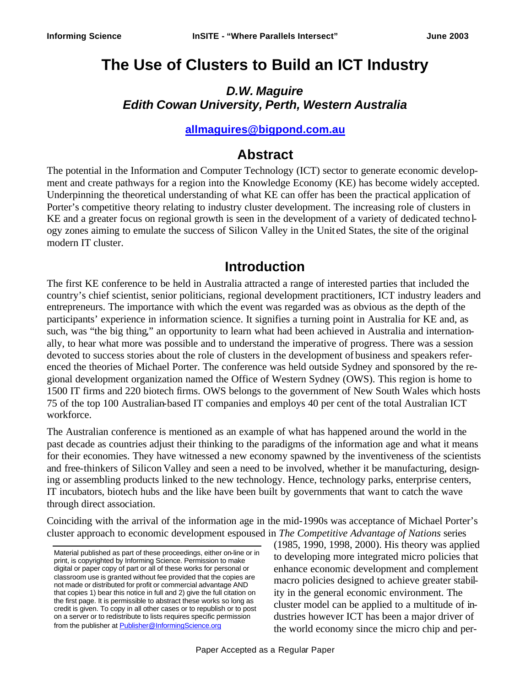# **The Use of Clusters to Build an ICT Industry**

#### *D.W. Maguire Edith Cowan University, Perth, Western Australia*

#### **allmaguires@bigpond.com.au**

### **Abstract**

The potential in the Information and Computer Technology (ICT) sector to generate economic development and create pathways for a region into the Knowledge Economy (KE) has become widely accepted. Underpinning the theoretical understanding of what KE can offer has been the practical application of Porter's competitive theory relating to industry cluster development. The increasing role of clusters in KE and a greater focus on regional growth is seen in the development of a variety of dedicated technology zones aiming to emulate the success of Silicon Valley in the Unit ed States, the site of the original modern IT cluster.

### **Introduction**

The first KE conference to be held in Australia attracted a range of interested parties that included the country's chief scientist, senior politicians, regional development practitioners, ICT industry leaders and entrepreneurs. The importance with which the event was regarded was as obvious as the depth of the participants' experience in information science. It signifies a turning point in Australia for KE and, as such, was "the big thing," an opportunity to learn what had been achieved in Australia and internationally, to hear what more was possible and to understand the imperative of progress. There was a session devoted to success stories about the role of clusters in the development of business and speakers referenced the theories of Michael Porter. The conference was held outside Sydney and sponsored by the regional development organization named the Office of Western Sydney (OWS). This region is home to 1500 IT firms and 220 biotech firms. OWS belongs to the government of New South Wales which hosts 75 of the top 100 Australian-based IT companies and employs 40 per cent of the total Australian ICT workforce.

The Australian conference is mentioned as an example of what has happened around the world in the past decade as countries adjust their thinking to the paradigms of the information age and what it means for their economies. They have witnessed a new economy spawned by the inventiveness of the scientists and free-thinkers of Silicon Valley and seen a need to be involved, whether it be manufacturing, designing or assembling products linked to the new technology. Hence, technology parks, enterprise centers, IT incubators, biotech hubs and the like have been built by governments that want to catch the wave through direct association.

Coinciding with the arrival of the information age in the mid-1990s was acceptance of Michael Porter's cluster approach to economic development espoused in *The Competitive Advantage of Nations* series

(1985, 1990, 1998, 2000). His theory was applied to developing more integrated micro policies that enhance economic development and complement macro policies designed to achieve greater stability in the general economic environment. The cluster model can be applied to a multitude of industries however ICT has been a major driver of the world economy since the micro chip and per-

Material published as part of these proceedings, either on-line or in print, is copyrighted by Informing Science. Permission to make digital or paper copy of part or all of these works for personal or classroom use is granted without fee provided that the copies are not made or distributed for profit or commercial advantage AND that copies 1) bear this notice in full and 2) give the full citation on the first page. It is permissible to abstract these works so long as credit is given. To copy in all other cases or to republish or to post on a server or to redistribute to lists requires specific permission from the publisher at Publisher@InformingScience.org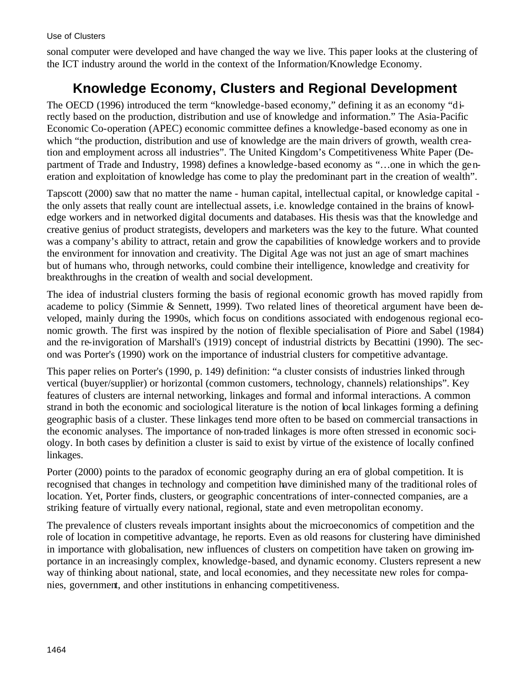sonal computer were developed and have changed the way we live. This paper looks at the clustering of the ICT industry around the world in the context of the Information/Knowledge Economy.

# **Knowledge Economy, Clusters and Regional Development**

The OECD (1996) introduced the term "knowledge-based economy," defining it as an economy "directly based on the production, distribution and use of knowledge and information." The Asia-Pacific Economic Co-operation (APEC) economic committee defines a knowledge-based economy as one in which "the production, distribution and use of knowledge are the main drivers of growth, wealth creation and employment across all industries". The United Kingdom's Competitiveness White Paper (Department of Trade and Industry, 1998) defines a knowledge-based economy as "...one in which the generation and exploitation of knowledge has come to play the predominant part in the creation of wealth".

Tapscott (2000) saw that no matter the name - human capital, intellectual capital, or knowledge capital the only assets that really count are intellectual assets, i.e. knowledge contained in the brains of knowledge workers and in networked digital documents and databases. His thesis was that the knowledge and creative genius of product strategists, developers and marketers was the key to the future. What counted was a company's ability to attract, retain and grow the capabilities of knowledge workers and to provide the environment for innovation and creativity. The Digital Age was not just an age of smart machines but of humans who, through networks, could combine their intelligence, knowledge and creativity for breakthroughs in the creation of wealth and social development.

The idea of industrial clusters forming the basis of regional economic growth has moved rapidly from academe to policy (Simmie & Sennett, 1999). Two related lines of theoretical argument have been developed, mainly during the 1990s, which focus on conditions associated with endogenous regional economic growth. The first was inspired by the notion of flexible specialisation of Piore and Sabel (1984) and the re-invigoration of Marshall's (1919) concept of industrial districts by Becattini (1990). The second was Porter's (1990) work on the importance of industrial clusters for competitive advantage.

This paper relies on Porter's (1990, p. 149) definition: "a cluster consists of industries linked through vertical (buyer/supplier) or horizontal (common customers, technology, channels) relationships". Key features of clusters are internal networking, linkages and formal and informal interactions. A common strand in both the economic and sociological literature is the notion of local linkages forming a defining geographic basis of a cluster. These linkages tend more often to be based on commercial transactions in the economic analyses. The importance of non-traded linkages is more often stressed in economic sociology. In both cases by definition a cluster is said to exist by virtue of the existence of locally confined linkages.

Porter (2000) points to the paradox of economic geography during an era of global competition. It is recognised that changes in technology and competition have diminished many of the traditional roles of location. Yet, Porter finds, clusters, or geographic concentrations of inter-connected companies, are a striking feature of virtually every national, regional, state and even metropolitan economy.

The prevalence of clusters reveals important insights about the microeconomics of competition and the role of location in competitive advantage, he reports. Even as old reasons for clustering have diminished in importance with globalisation, new influences of clusters on competition have taken on growing importance in an increasingly complex, knowledge-based, and dynamic economy. Clusters represent a new way of thinking about national, state, and local economies, and they necessitate new roles for companies, government, and other institutions in enhancing competitiveness.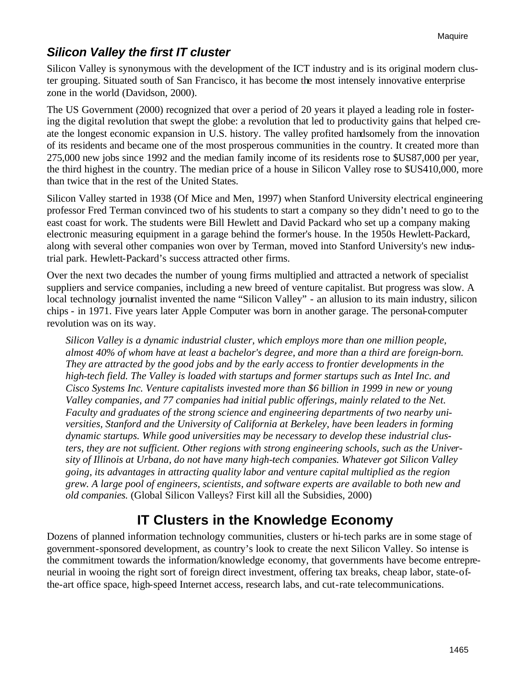## *Silicon Valley the first IT cluster*

Silicon Valley is synonymous with the development of the ICT industry and is its original modern cluster grouping. Situated south of San Francisco, it has become the most intensely innovative enterprise zone in the world (Davidson, 2000).

The US Government (2000) recognized that over a period of 20 years it played a leading role in fostering the digital revolution that swept the globe: a revolution that led to productivity gains that helped create the longest economic expansion in U.S. history. The valley profited handsomely from the innovation of its residents and became one of the most prosperous communities in the country. It created more than 275,000 new jobs since 1992 and the median family income of its residents rose to \$US87,000 per year, the third highest in the country. The median price of a house in Silicon Valley rose to \$US410,000, more than twice that in the rest of the United States.

Silicon Valley started in 1938 (Of Mice and Men, 1997) when Stanford University electrical engineering professor Fred Terman convinced two of his students to start a company so they didn't need to go to the east coast for work. The students were Bill Hewlett and David Packard who set up a company making electronic measuring equipment in a garage behind the former's house. In the 1950s Hewlett-Packard, along with several other companies won over by Terman, moved into Stanford University's new industrial park. Hewlett-Packard's success attracted other firms.

Over the next two decades the number of young firms multiplied and attracted a network of specialist suppliers and service companies, including a new breed of venture capitalist. But progress was slow. A local technology journalist invented the name "Silicon Valley" - an allusion to its main industry, silicon chips - in 1971. Five years later Apple Computer was born in another garage. The personal-computer revolution was on its way.

*Silicon Valley is a dynamic industrial cluster, which employs more than one million people, almost 40% of whom have at least a bachelor's degree, and more than a third are foreign-born. They are attracted by the good jobs and by the early access to frontier developments in the high-tech field. The Valley is loaded with startups and former startups such as Intel Inc. and Cisco Systems Inc. Venture capitalists invested more than \$6 billion in 1999 in new or young Valley companies, and 77 companies had initial public offerings, mainly related to the Net. Faculty and graduates of the strong science and engineering departments of two nearby universities, Stanford and the University of California at Berkeley, have been leaders in forming dynamic startups. While good universities may be necessary to develop these industrial clusters, they are not sufficient. Other regions with strong engineering schools, such as the University of Illinois at Urbana, do not have many high-tech companies. Whatever got Silicon Valley going, its advantages in attracting quality labor and venture capital multiplied as the region grew. A large pool of engineers, scientists, and software experts are available to both new and old companies.* (Global Silicon Valleys? First kill all the Subsidies, 2000)

# **IT Clusters in the Knowledge Economy**

Dozens of planned information technology communities, clusters or hi-tech parks are in some stage of government-sponsored development, as country's look to create the next Silicon Valley. So intense is the commitment towards the information/knowledge economy, that governments have become entrepreneurial in wooing the right sort of foreign direct investment, offering tax breaks, cheap labor, state-ofthe-art office space, high-speed Internet access, research labs, and cut-rate telecommunications.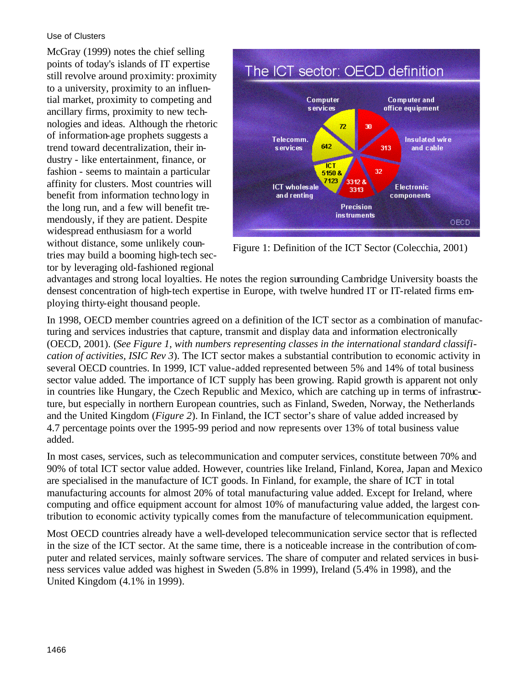#### Use of Clusters

McGray (1999) notes the chief selling points of today's islands of IT expertise still revolve around proximity: proximity to a university, proximity to an influential market, proximity to competing and ancillary firms, proximity to new technologies and ideas. Although the rhetoric of information-age prophets suggests a trend toward decentralization, their industry - like entertainment, finance, or fashion - seems to maintain a particular affinity for clusters. Most countries will benefit from information technology in the long run, and a few will benefit tremendously, if they are patient. Despite widespread enthusiasm for a world without distance, some unlikely countries may build a booming high-tech sector by leveraging old-fashioned regional



Figure 1: Definition of the ICT Sector (Colecchia, 2001)

advantages and strong local loyalties. He notes the region surrounding Cambridge University boasts the densest concentration of high-tech expertise in Europe, with twelve hundred IT or IT-related firms employing thirty-eight thousand people.

In 1998, OECD member countries agreed on a definition of the ICT sector as a combination of manufacturing and services industries that capture, transmit and display data and information electronically (OECD, 2001). (*See Figure 1, with numbers representing classes in the international standard classification of activities, ISIC Rev 3*). The ICT sector makes a substantial contribution to economic activity in several OECD countries. In 1999, ICT value-added represented between 5% and 14% of total business sector value added. The importance of ICT supply has been growing. Rapid growth is apparent not only in countries like Hungary, the Czech Republic and Mexico, which are catching up in terms of infrastructure, but especially in northern European countries, such as Finland, Sweden, Norway, the Netherlands and the United Kingdom (*Figure 2*). In Finland, the ICT sector's share of value added increased by 4.7 percentage points over the 1995-99 period and now represents over 13% of total business value added.

In most cases, services, such as telecommunication and computer services, constitute between 70% and 90% of total ICT sector value added. However, countries like Ireland, Finland, Korea, Japan and Mexico are specialised in the manufacture of ICT goods. In Finland, for example, the share of ICT in total manufacturing accounts for almost 20% of total manufacturing value added. Except for Ireland, where computing and office equipment account for almost 10% of manufacturing value added, the largest contribution to economic activity typically comes from the manufacture of telecommunication equipment.

Most OECD countries already have a well-developed telecommunication service sector that is reflected in the size of the ICT sector. At the same time, there is a noticeable increase in the contribution of computer and related services, mainly software services. The share of computer and related services in business services value added was highest in Sweden (5.8% in 1999), Ireland (5.4% in 1998), and the United Kingdom (4.1% in 1999).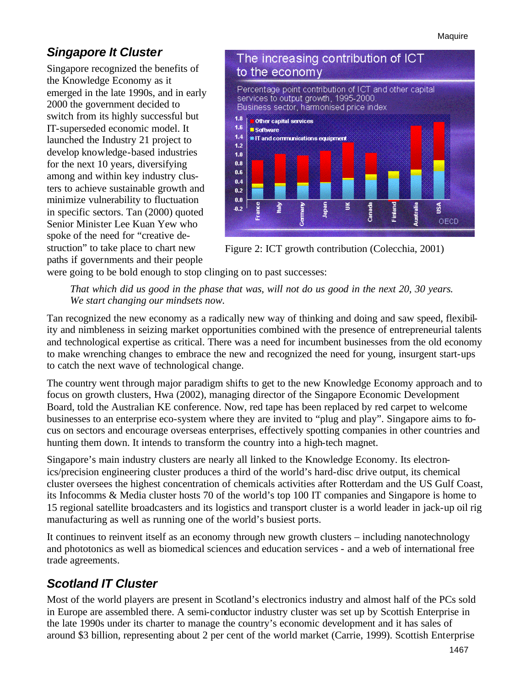## *Singapore It Cluster*

Singapore recognized the benefits of the Knowledge Economy as it emerged in the late 1990s, and in early 2000 the government decided to switch from its highly successful but IT-superseded economic model. It launched the Industry 21 project to develop knowledge-based industries for the next 10 years, diversifying among and within key industry clusters to achieve sustainable growth and minimize vulnerability to fluctuation in specific sectors. Tan (2000) quoted Senior Minister Lee Kuan Yew who spoke of the need for "creative destruction" to take place to chart new paths if governments and their people



Figure 2: ICT growth contribution (Colecchia, 2001)

were going to be bold enough to stop clinging on to past successes:

*That which did us good in the phase that was, will not do us good in the next 20, 30 years. We start changing our mindsets now.* 

Tan recognized the new economy as a radically new way of thinking and doing and saw speed, flexibility and nimbleness in seizing market opportunities combined with the presence of entrepreneurial talents and technological expertise as critical. There was a need for incumbent businesses from the old economy to make wrenching changes to embrace the new and recognized the need for young, insurgent start-ups to catch the next wave of technological change.

The country went through major paradigm shifts to get to the new Knowledge Economy approach and to focus on growth clusters, Hwa (2002), managing director of the Singapore Economic Development Board, told the Australian KE conference. Now, red tape has been replaced by red carpet to welcome businesses to an enterprise eco-system where they are invited to "plug and play". Singapore aims to focus on sectors and encourage overseas enterprises, effectively spotting companies in other countries and hunting them down. It intends to transform the country into a high-tech magnet.

Singapore's main industry clusters are nearly all linked to the Knowledge Economy. Its electronics/precision engineering cluster produces a third of the world's hard-disc drive output, its chemical cluster oversees the highest concentration of chemicals activities after Rotterdam and the US Gulf Coast, its Infocomms & Media cluster hosts 70 of the world's top 100 IT companies and Singapore is home to 15 regional satellite broadcasters and its logistics and transport cluster is a world leader in jack-up oil rig manufacturing as well as running one of the world's busiest ports.

It continues to reinvent itself as an economy through new growth clusters – including nanotechnology and phototonics as well as biomedical sciences and education services - and a web of international free trade agreements.

## *Scotland IT Cluster*

Most of the world players are present in Scotland's electronics industry and almost half of the PCs sold in Europe are assembled there. A semi-conductor industry cluster was set up by Scottish Enterprise in the late 1990s under its charter to manage the country's economic development and it has sales of around \$3 billion, representing about 2 per cent of the world market (Carrie, 1999). Scottish Enterprise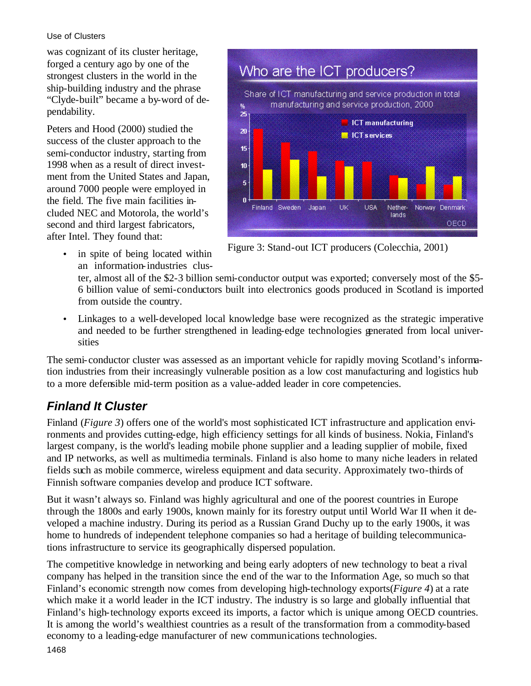#### Use of Clusters

was cognizant of its cluster heritage, forged a century ago by one of the strongest clusters in the world in the ship-building industry and the phrase "Clyde-built" became a by-word of dependability.

Peters and Hood (2000) studied the success of the cluster approach to the semi-conductor industry, starting from 1998 when as a result of direct investment from the United States and Japan, around 7000 people were employed in the field. The five main facilities included NEC and Motorola, the world's second and third largest fabricators, after Intel. They found that:

• in spite of being located within an information-industries clus-



Figure 3: Stand-out ICT producers (Colecchia, 2001)

ter, almost all of the \$2-3 billion semi-conductor output was exported; conversely most of the \$5- 6 billion value of semi-conductors built into electronics goods produced in Scotland is imported from outside the country.

• Linkages to a well-developed local knowledge base were recognized as the strategic imperative and needed to be further strengthened in leading-edge technologies generated from local universities

The semi-conductor cluster was assessed as an important vehicle for rapidly moving Scotland's information industries from their increasingly vulnerable position as a low cost manufacturing and logistics hub to a more defensible mid-term position as a value-added leader in core competencies.

## *Finland It Cluster*

Finland (*Figure 3*) offers one of the world's most sophisticated ICT infrastructure and application environments and provides cutting-edge, high efficiency settings for all kinds of business. Nokia, Finland's largest company, is the world's leading mobile phone supplier and a leading supplier of mobile, fixed and IP networks, as well as multimedia terminals. Finland is also home to many niche leaders in related fields such as mobile commerce, wireless equipment and data security. Approximately two-thirds of Finnish software companies develop and produce ICT software.

But it wasn't always so. Finland was highly agricultural and one of the poorest countries in Europe through the 1800s and early 1900s, known mainly for its forestry output until World War II when it developed a machine industry. During its period as a Russian Grand Duchy up to the early 1900s, it was home to hundreds of independent telephone companies so had a heritage of building telecommunications infrastructure to service its geographically dispersed population.

The competitive knowledge in networking and being early adopters of new technology to beat a rival company has helped in the transition since the end of the war to the Information Age, so much so that Finland's economic strength now comes from developing high-technology exports(*Figure 4*) at a rate which make it a world leader in the ICT industry. The industry is so large and globally influential that Finland's high-technology exports exceed its imports, a factor which is unique among OECD countries. It is among the world's wealthiest countries as a result of the transformation from a commodity-based economy to a leading-edge manufacturer of new communications technologies.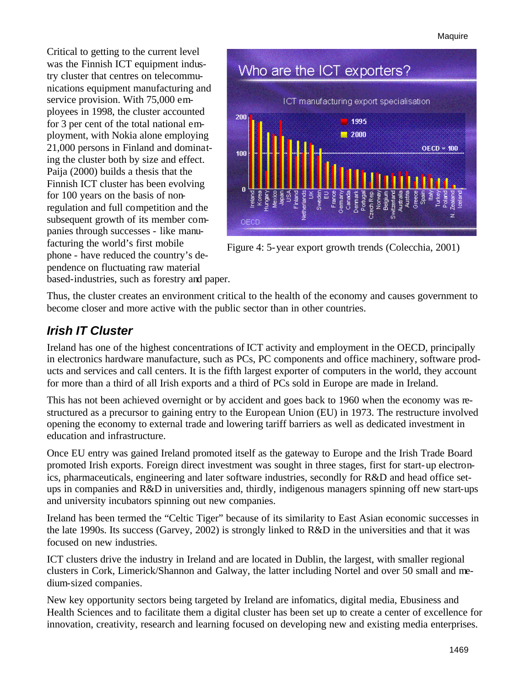Critical to getting to the current level was the Finnish ICT equipment industry cluster that centres on telecommunications equipment manufacturing and service provision. With 75,000 employees in 1998, the cluster accounted for 3 per cent of the total national employment, with Nokia alone employing 21,000 persons in Finland and dominating the cluster both by size and effect. Paija (2000) builds a thesis that the Finnish ICT cluster has been evolving for 100 years on the basis of nonregulation and full competition and the subsequent growth of its member companies through successes - like manufacturing the world's first mobile phone - have reduced the country's dependence on fluctuating raw material based-industries, such as forestry and paper.



Figure 4: 5-year export growth trends (Colecchia, 2001)

Thus, the cluster creates an environment critical to the health of the economy and causes government to become closer and more active with the public sector than in other countries.

### *Irish IT Cluster*

Ireland has one of the highest concentrations of ICT activity and employment in the OECD, principally in electronics hardware manufacture, such as PCs, PC components and office machinery, software products and services and call centers. It is the fifth largest exporter of computers in the world, they account for more than a third of all Irish exports and a third of PCs sold in Europe are made in Ireland.

This has not been achieved overnight or by accident and goes back to 1960 when the economy was restructured as a precursor to gaining entry to the European Union (EU) in 1973. The restructure involved opening the economy to external trade and lowering tariff barriers as well as dedicated investment in education and infrastructure.

Once EU entry was gained Ireland promoted itself as the gateway to Europe and the Irish Trade Board promoted Irish exports. Foreign direct investment was sought in three stages, first for start-up electronics, pharmaceuticals, engineering and later software industries, secondly for R&D and head office setups in companies and R&D in universities and, thirdly, indigenous managers spinning off new start-ups and university incubators spinning out new companies.

Ireland has been termed the "Celtic Tiger" because of its similarity to East Asian economic successes in the late 1990s. Its success (Garvey, 2002) is strongly linked to R&D in the universities and that it was focused on new industries.

ICT clusters drive the industry in Ireland and are located in Dublin, the largest, with smaller regional clusters in Cork, Limerick/Shannon and Galway, the latter including Nortel and over 50 small and medium-sized companies.

New key opportunity sectors being targeted by Ireland are infomatics, digital media, Ebusiness and Health Sciences and to facilitate them a digital cluster has been set up to create a center of excellence for innovation, creativity, research and learning focused on developing new and existing media enterprises.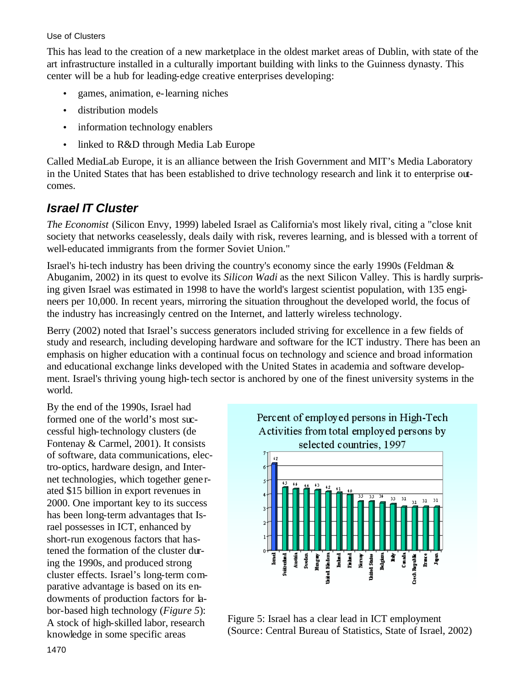#### Use of Clusters

This has lead to the creation of a new marketplace in the oldest market areas of Dublin, with state of the art infrastructure installed in a culturally important building with links to the Guinness dynasty. This center will be a hub for leading-edge creative enterprises developing:

- games, animation, e-learning niches
- distribution models
- information technology enablers
- linked to R&D through Media Lab Europe

Called MediaLab Europe, it is an alliance between the Irish Government and MIT's Media Laboratory in the United States that has been established to drive technology research and link it to enterprise outcomes.

### *Israel IT Cluster*

*The Economist* (Silicon Envy, 1999) labeled Israel as California's most likely rival, citing a "close knit society that networks ceaselessly, deals daily with risk, reveres learning, and is blessed with a torrent of well-educated immigrants from the former Soviet Union."

Israel's hi-tech industry has been driving the country's economy since the early 1990s (Feldman & Abuganim, 2002) in its quest to evolve its *Silicon Wadi* as the next Silicon Valley. This is hardly surprising given Israel was estimated in 1998 to have the world's largest scientist population, with 135 engineers per 10,000. In recent years, mirroring the situation throughout the developed world, the focus of the industry has increasingly centred on the Internet, and latterly wireless technology.

Berry (2002) noted that Israel's success generators included striving for excellence in a few fields of study and research, including developing hardware and software for the ICT industry. There has been an emphasis on higher education with a continual focus on technology and science and broad information and educational exchange links developed with the United States in academia and software development. Israel's thriving young high-tech sector is anchored by one of the finest university systems in the world.

By the end of the 1990s, Israel had formed one of the world's most successful high-technology clusters (de Fontenay & Carmel, 2001). It consists of software, data communications, electro-optics, hardware design, and Internet technologies, which together gene rated \$15 billion in export revenues in 2000. One important key to its success has been long-term advantages that Israel possesses in ICT, enhanced by short-run exogenous factors that hastened the formation of the cluster during the 1990s, and produced strong cluster effects. Israel's long-term comparative advantage is based on its endowments of production factors for labor-based high technology (*Figure 5*): A stock of high-skilled labor, research knowledge in some specific areas



Figure 5: Israel has a clear lead in ICT employment (Source: Central Bureau of Statistics, State of Israel, 2002)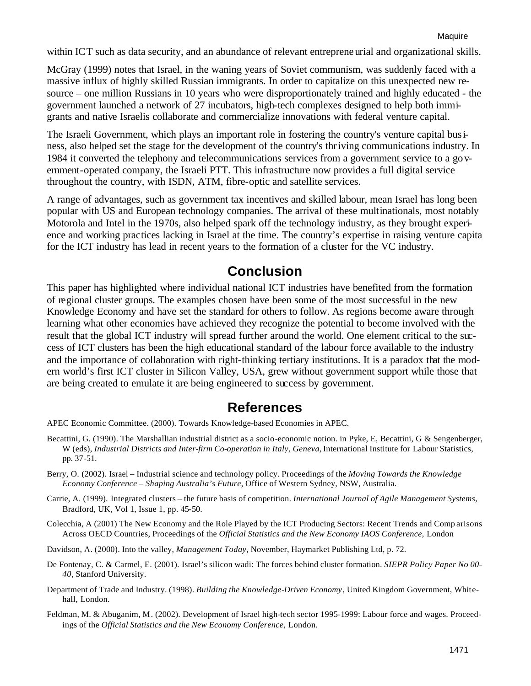within ICT such as data security, and an abundance of relevant entrepreneurial and organizational skills.

McGray (1999) notes that Israel, in the waning years of Soviet communism, was suddenly faced with a massive influx of highly skilled Russian immigrants. In order to capitalize on this unexpected new resource – one million Russians in 10 years who were disproportionately trained and highly educated - the government launched a network of 27 incubators, high-tech complexes designed to help both immigrants and native Israelis collaborate and commercialize innovations with federal venture capital.

The Israeli Government, which plays an important role in fostering the country's venture capital business, also helped set the stage for the development of the country's thriving communications industry. In 1984 it converted the telephony and telecommunications services from a government service to a government-operated company, the Israeli PTT. This infrastructure now provides a full digital service throughout the country, with ISDN, ATM, fibre-optic and satellite services.

A range of advantages, such as government tax incentives and skilled labour, mean Israel has long been popular with US and European technology companies. The arrival of these multinationals, most notably Motorola and Intel in the 1970s, also helped spark off the technology industry, as they brought experience and working practices lacking in Israel at the time. The country's expertise in raising venture capita for the ICT industry has lead in recent years to the formation of a cluster for the VC industry.

# **Conclusion**

This paper has highlighted where individual national ICT industries have benefited from the formation of regional cluster groups. The examples chosen have been some of the most successful in the new Knowledge Economy and have set the standard for others to follow. As regions become aware through learning what other economies have achieved they recognize the potential to become involved with the result that the global ICT industry will spread further around the world. One element critical to the success of ICT clusters has been the high educational standard of the labour force available to the industry and the importance of collaboration with right-thinking tertiary institutions. It is a paradox that the modern world's first ICT cluster in Silicon Valley, USA, grew without government support while those that are being created to emulate it are being engineered to success by government.

## **References**

APEC Economic Committee. (2000). Towards Knowledge-based Economies in APEC.

- Becattini, G. (1990). The Marshallian industrial district as a socio-economic notion. in Pyke, E, Becattini, G & Sengenberger, W (eds), *Industrial Districts and Inter-firm Co-operation in Italy, Geneva,* International Institute for Labour Statistics, pp. 37-51.
- Berry, O. (2002). Israel Industrial science and technology policy. Proceedings of the *Moving Towards the Knowledge Economy Conference – Shaping Australia's Future*, Office of Western Sydney, NSW, Australia.
- Carrie, A. (1999). Integrated clusters the future basis of competition. *International Journal of Agile Management Systems*, Bradford, UK, Vol 1, Issue 1, pp. 45-50.
- Colecchia, A (2001) The New Economy and the Role Played by the ICT Producing Sectors: Recent Trends and Comp arisons Across OECD Countries, Proceedings of the *Official Statistics and the New Economy IAOS Conference*, London
- Davidson, A. (2000). Into the valley, *Management Today*, November, Haymarket Publishing Ltd, p. 72.
- De Fontenay, C. & Carmel, E. (2001). Israel's silicon wadi: The forces behind cluster formation. *SIEPR Policy Paper No 00- 40*, Stanford University.
- Department of Trade and Industry. (1998). *Building the Knowledge-Driven Economy*, United Kingdom Government, Whitehall, London.
- Feldman, M. & Abuganim, M. (2002). Development of Israel high-tech sector 1995-1999: Labour force and wages. Proceedings of the *Official Statistics and the New Economy Conference*, London.